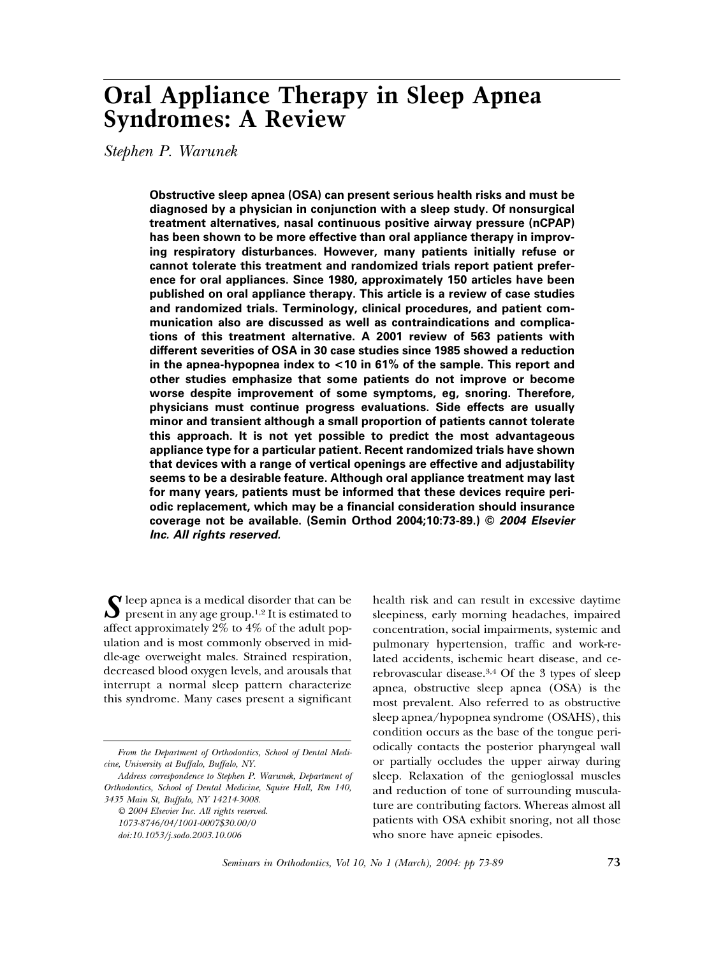# **Oral Appliance Therapy in Sleep Apnea Syndromes: A Review**

*Stephen P. Warunek*

**Obstructive sleep apnea (OSA) can present serious health risks and must be diagnosed by a physician in conjunction with a sleep study. Of nonsurgical treatment alternatives, nasal continuous positive airway pressure (nCPAP) has been shown to be more effective than oral appliance therapy in improving respiratory disturbances. However, many patients initially refuse or cannot tolerate this treatment and randomized trials report patient preference for oral appliances. Since 1980, approximately 150 articles have been published on oral appliance therapy. This article is a review of case studies and randomized trials. Terminology, clinical procedures, and patient communication also are discussed as well as contraindications and complications of this treatment alternative. A 2001 review of 563 patients with different severities of OSA in 30 case studies since 1985 showed a reduction in the apnea-hypopnea index to <10 in 61% of the sample. This report and other studies emphasize that some patients do not improve or become worse despite improvement of some symptoms, eg, snoring. Therefore, physicians must continue progress evaluations. Side effects are usually minor and transient although a small proportion of patients cannot tolerate this approach. It is not yet possible to predict the most advantageous appliance type for a particular patient. Recent randomized trials have shown that devices with a range of vertical openings are effective and adjustability seems to be a desirable feature. Although oral appliance treatment may last for many years, patients must be informed that these devices require periodic replacement, which may be a financial consideration should insurance coverage not be available. (Semin Orthod 2004;10:73-89.) ©** *2004 Elsevier Inc. All rights reserved.*

 $\int$  leep apnea is a medical disorder that can be<br>present in any age group.<sup>1,2</sup> It is estimated to affect approximately 2% to 4% of the adult population and is most commonly observed in middle-age overweight males. Strained respiration, decreased blood oxygen levels, and arousals that interrupt a normal sleep pattern characterize this syndrome. Many cases present a significant

health risk and can result in excessive daytime sleepiness, early morning headaches, impaired concentration, social impairments, systemic and pulmonary hypertension, traffic and work-related accidents, ischemic heart disease, and cerebrovascular disease.3,4 Of the 3 types of sleep apnea, obstructive sleep apnea (OSA) is the most prevalent. Also referred to as obstructive sleep apnea/hypopnea syndrome (OSAHS), this condition occurs as the base of the tongue periodically contacts the posterior pharyngeal wall or partially occludes the upper airway during sleep. Relaxation of the genioglossal muscles and reduction of tone of surrounding musculature are contributing factors. Whereas almost all patients with OSA exhibit snoring, not all those who snore have apneic episodes.

*From the Department of Orthodontics, School of Dental Medicine, University at Buffalo, Buffalo, NY.*

*Address correspondence to Stephen P. Warunek, Department of Orthodontics, School of Dental Medicine, Squire Hall, Rm 140, 3435 Main St, Buffalo, NY 14214-3008.*

*<sup>© 2004</sup> Elsevier Inc. All rights reserved. 1073-8746/04/1001-0007\$30.00/0 doi:10.1053/j.sodo.2003.10.006*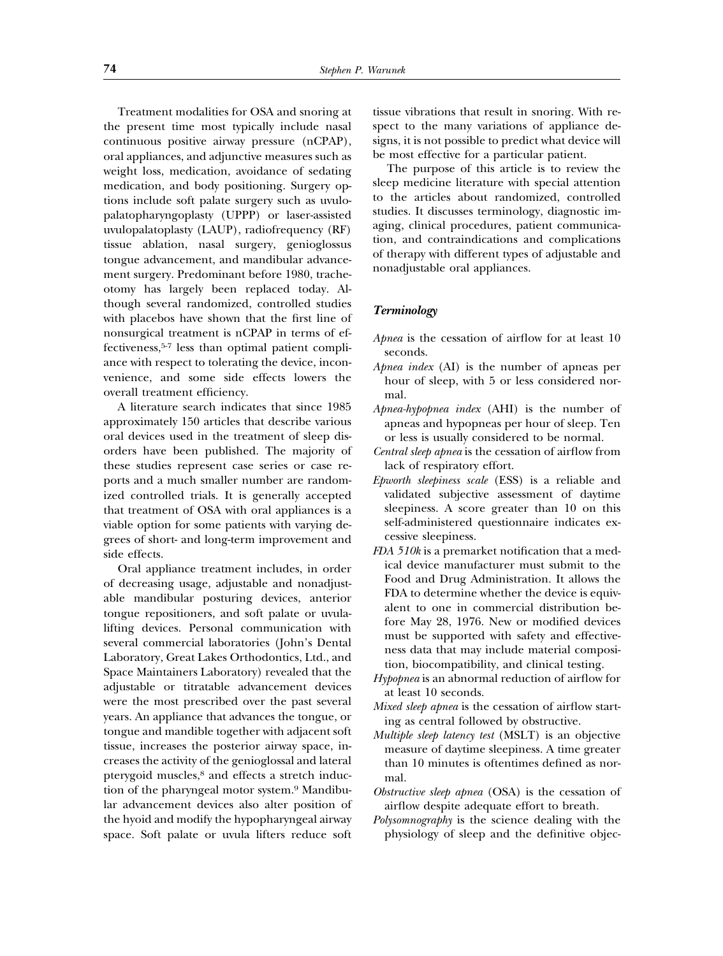Treatment modalities for OSA and snoring at the present time most typically include nasal continuous positive airway pressure (nCPAP), oral appliances, and adjunctive measures such as weight loss, medication, avoidance of sedating medication, and body positioning. Surgery options include soft palate surgery such as uvulopalatopharyngoplasty (UPPP) or laser-assisted uvulopalatoplasty (LAUP), radiofrequency (RF) tissue ablation, nasal surgery, genioglossus tongue advancement, and mandibular advancement surgery. Predominant before 1980, tracheotomy has largely been replaced today. Although several randomized, controlled studies with placebos have shown that the first line of nonsurgical treatment is nCPAP in terms of effectiveness,5-7 less than optimal patient compliance with respect to tolerating the device, inconvenience, and some side effects lowers the overall treatment efficiency.

A literature search indicates that since 1985 approximately 150 articles that describe various oral devices used in the treatment of sleep disorders have been published. The majority of these studies represent case series or case reports and a much smaller number are randomized controlled trials. It is generally accepted that treatment of OSA with oral appliances is a viable option for some patients with varying degrees of short- and long-term improvement and side effects.

Oral appliance treatment includes, in order of decreasing usage, adjustable and nonadjustable mandibular posturing devices, anterior tongue repositioners, and soft palate or uvulalifting devices. Personal communication with several commercial laboratories (John's Dental Laboratory, Great Lakes Orthodontics, Ltd., and Space Maintainers Laboratory) revealed that the adjustable or titratable advancement devices were the most prescribed over the past several years. An appliance that advances the tongue, or tongue and mandible together with adjacent soft tissue, increases the posterior airway space, increases the activity of the genioglossal and lateral pterygoid muscles,<sup>8</sup> and effects a stretch induction of the pharyngeal motor system.9 Mandibular advancement devices also alter position of the hyoid and modify the hypopharyngeal airway space. Soft palate or uvula lifters reduce soft tissue vibrations that result in snoring. With respect to the many variations of appliance designs, it is not possible to predict what device will be most effective for a particular patient.

The purpose of this article is to review the sleep medicine literature with special attention to the articles about randomized, controlled studies. It discusses terminology, diagnostic imaging, clinical procedures, patient communication, and contraindications and complications of therapy with different types of adjustable and nonadjustable oral appliances.

### *Terminology*

- *Apnea* is the cessation of airflow for at least 10 seconds.
- *Apnea index* (AI) is the number of apneas per hour of sleep, with 5 or less considered normal.
- *Apnea-hypopnea index* (AHI) is the number of apneas and hypopneas per hour of sleep. Ten or less is usually considered to be normal.
- *Central sleep apnea* is the cessation of airflow from lack of respiratory effort.
- *Epworth sleepiness scale* (ESS) is a reliable and validated subjective assessment of daytime sleepiness. A score greater than 10 on this self-administered questionnaire indicates excessive sleepiness.
- *FDA 510k* is a premarket notification that a medical device manufacturer must submit to the Food and Drug Administration. It allows the FDA to determine whether the device is equivalent to one in commercial distribution before May 28, 1976. New or modified devices must be supported with safety and effectiveness data that may include material composition, biocompatibility, and clinical testing.
- *Hypopnea* is an abnormal reduction of airflow for at least 10 seconds.
- *Mixed sleep apnea* is the cessation of airflow starting as central followed by obstructive.
- *Multiple sleep latency test* (MSLT) is an objective measure of daytime sleepiness. A time greater than 10 minutes is oftentimes defined as normal.
- *Obstructive sleep apnea* (OSA) is the cessation of airflow despite adequate effort to breath.
- *Polysomnography* is the science dealing with the physiology of sleep and the definitive objec-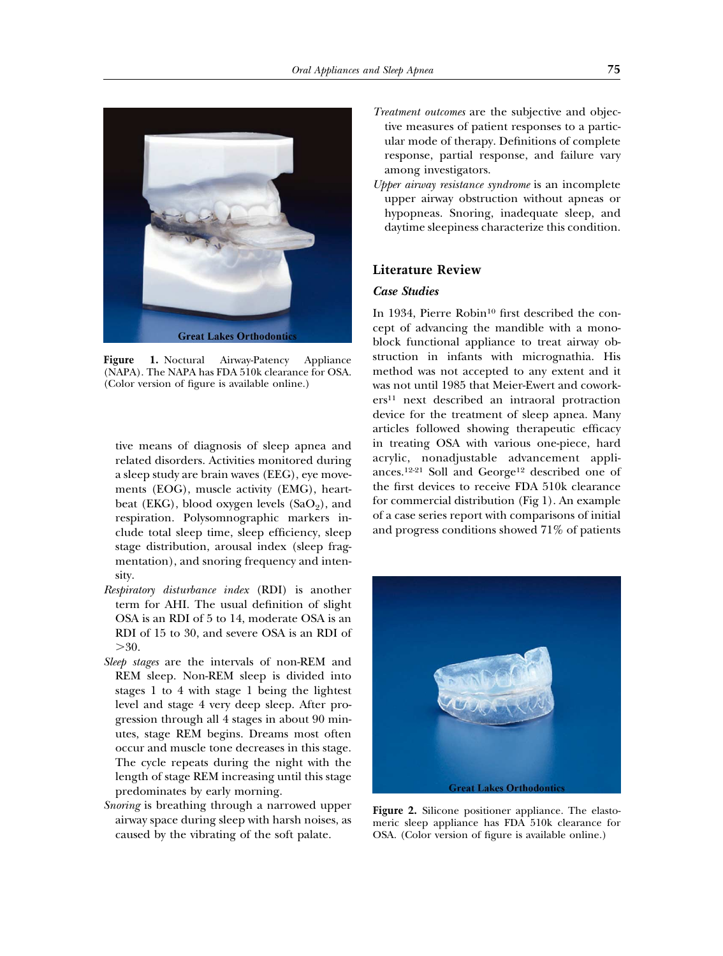

**Figure 1.** Noctural Airway-Patency Appliance (NAPA). The NAPA has FDA 510k clearance for OSA. (Color version of figure is available online.)

tive means of diagnosis of sleep apnea and related disorders. Activities monitored during a sleep study are brain waves (EEG), eye movements (EOG), muscle activity (EMG), heartbeat (EKG), blood oxygen levels  $(SaO<sub>2</sub>)$ , and respiration. Polysomnographic markers include total sleep time, sleep efficiency, sleep stage distribution, arousal index (sleep fragmentation), and snoring frequency and intensity.

- *Respiratory disturbance index* (RDI) is another term for AHI. The usual definition of slight OSA is an RDI of 5 to 14, moderate OSA is an RDI of 15 to 30, and severe OSA is an RDI of  $>30.$
- *Sleep stages* are the intervals of non-REM and REM sleep. Non-REM sleep is divided into stages 1 to 4 with stage 1 being the lightest level and stage 4 very deep sleep. After progression through all 4 stages in about 90 minutes, stage REM begins. Dreams most often occur and muscle tone decreases in this stage. The cycle repeats during the night with the length of stage REM increasing until this stage predominates by early morning.
- *Snoring* is breathing through a narrowed upper airway space during sleep with harsh noises, as caused by the vibrating of the soft palate.
- *Treatment outcomes* are the subjective and objective measures of patient responses to a particular mode of therapy. Definitions of complete response, partial response, and failure vary among investigators.
- *Upper airway resistance syndrome* is an incomplete upper airway obstruction without apneas or hypopneas. Snoring, inadequate sleep, and daytime sleepiness characterize this condition.

## **Literature Review**

## *Case Studies*

In 1934, Pierre Robin<sup>10</sup> first described the concept of advancing the mandible with a monoblock functional appliance to treat airway obstruction in infants with micrognathia. His method was not accepted to any extent and it was not until 1985 that Meier-Ewert and coworkers11 next described an intraoral protraction device for the treatment of sleep apnea. Many articles followed showing therapeutic efficacy in treating OSA with various one-piece, hard acrylic, nonadjustable advancement appliances.12-21 Soll and George12 described one of the first devices to receive FDA 510k clearance for commercial distribution (Fig 1). An example of a case series report with comparisons of initial and progress conditions showed 71% of patients



**Figure 2.** Silicone positioner appliance. The elastomeric sleep appliance has FDA 510k clearance for OSA. (Color version of figure is available online.)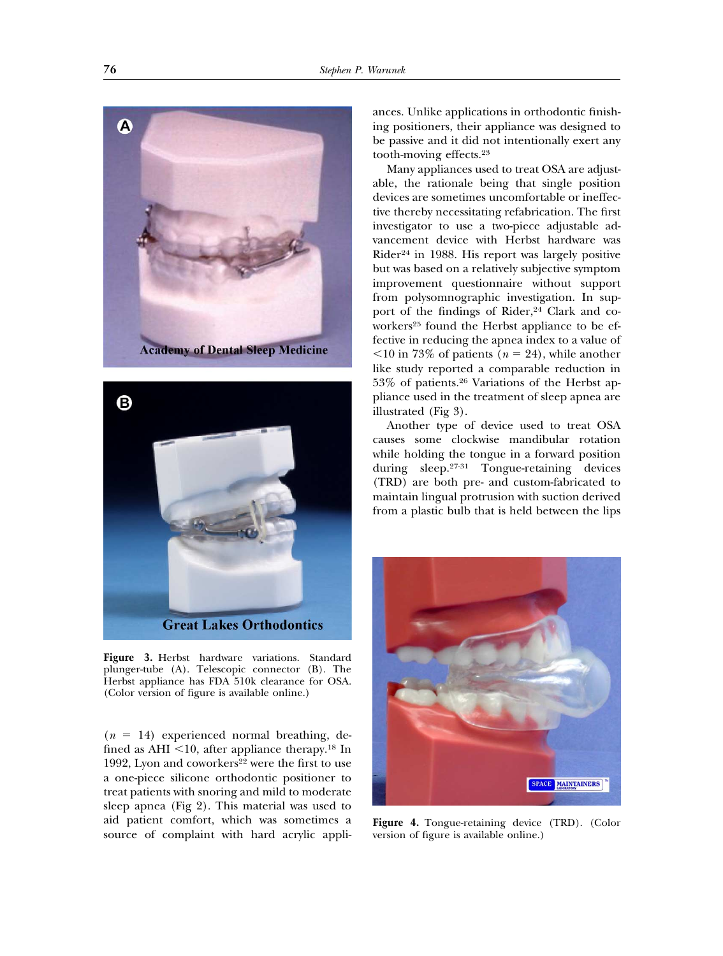Δ **Academy of Dental Sleep Medicine** 



**Figure 3.** Herbst hardware variations. Standard plunger-tube (A). Telescopic connector (B). The Herbst appliance has FDA 510k clearance for OSA. (Color version of figure is available online.)

 $(n = 14)$  experienced normal breathing, defined as AHI  $<$ 10, after appliance therapy.<sup>18</sup> In 1992, Lyon and coworkers<sup>22</sup> were the first to use a one-piece silicone orthodontic positioner to treat patients with snoring and mild to moderate sleep apnea (Fig 2). This material was used to aid patient comfort, which was sometimes a source of complaint with hard acrylic appliances. Unlike applications in orthodontic finishing positioners, their appliance was designed to be passive and it did not intentionally exert any tooth-moving effects.23

Many appliances used to treat OSA are adjustable, the rationale being that single position devices are sometimes uncomfortable or ineffective thereby necessitating refabrication. The first investigator to use a two-piece adjustable advancement device with Herbst hardware was Rider24 in 1988. His report was largely positive but was based on a relatively subjective symptom improvement questionnaire without support from polysomnographic investigation. In support of the findings of Rider, $24$  Clark and coworkers<sup>25</sup> found the Herbst appliance to be effective in reducing the apnea index to a value of  $10$  in 73% of patients ( $n = 24$ ), while another like study reported a comparable reduction in 53% of patients.26 Variations of the Herbst appliance used in the treatment of sleep apnea are illustrated (Fig 3).

Another type of device used to treat OSA causes some clockwise mandibular rotation while holding the tongue in a forward position during sleep.27-31 Tongue-retaining devices (TRD) are both pre- and custom-fabricated to maintain lingual protrusion with suction derived from a plastic bulb that is held between the lips



**Figure 4.** Tongue-retaining device (TRD). (Color version of figure is available online.)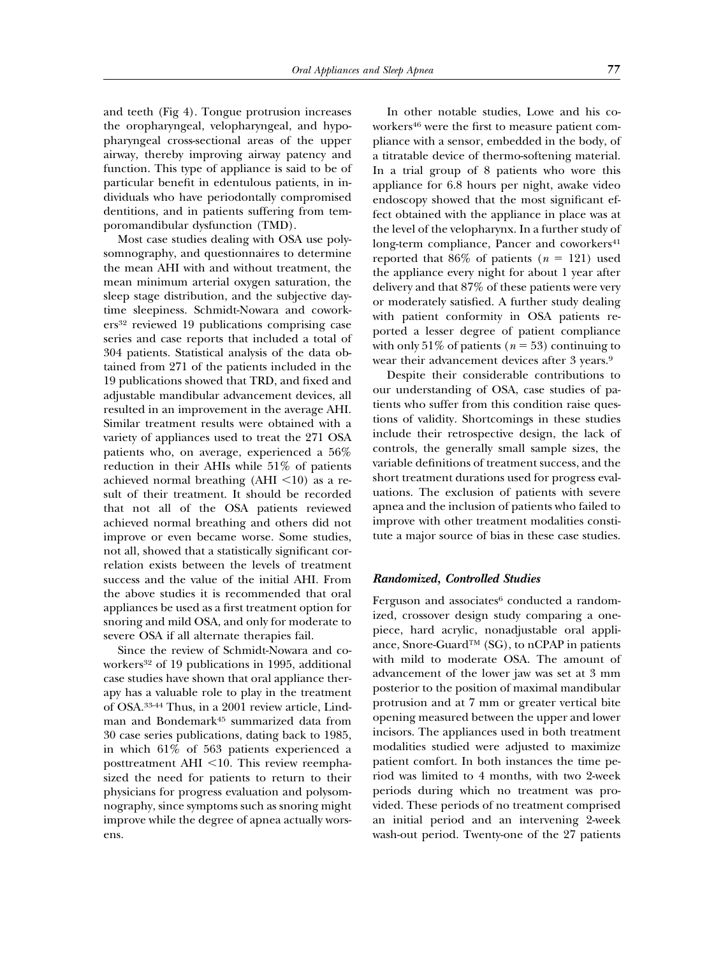and teeth (Fig 4). Tongue protrusion increases the oropharyngeal, velopharyngeal, and hypopharyngeal cross-sectional areas of the upper airway, thereby improving airway patency and function. This type of appliance is said to be of particular benefit in edentulous patients, in individuals who have periodontally compromised dentitions, and in patients suffering from temporomandibular dysfunction (TMD).

Most case studies dealing with OSA use polysomnography, and questionnaires to determine the mean AHI with and without treatment, the mean minimum arterial oxygen saturation, the sleep stage distribution, and the subjective daytime sleepiness. Schmidt-Nowara and coworkers32 reviewed 19 publications comprising case series and case reports that included a total of 304 patients. Statistical analysis of the data obtained from 271 of the patients included in the 19 publications showed that TRD, and fixed and adjustable mandibular advancement devices, all resulted in an improvement in the average AHI. Similar treatment results were obtained with a variety of appliances used to treat the 271 OSA patients who, on average, experienced a 56% reduction in their AHIs while 51% of patients achieved normal breathing  $(AHI < 10)$  as a result of their treatment. It should be recorded that not all of the OSA patients reviewed achieved normal breathing and others did not improve or even became worse. Some studies, not all, showed that a statistically significant correlation exists between the levels of treatment success and the value of the initial AHI. From the above studies it is recommended that oral appliances be used as a first treatment option for snoring and mild OSA, and only for moderate to severe OSA if all alternate therapies fail.

Since the review of Schmidt-Nowara and coworkers<sup>32</sup> of 19 publications in 1995, additional case studies have shown that oral appliance therapy has a valuable role to play in the treatment of OSA.33-44 Thus, in a 2001 review article, Lindman and Bondemark45 summarized data from 30 case series publications, dating back to 1985, in which 61% of 563 patients experienced a posttreatment AHI  $\le$ 10. This review reemphasized the need for patients to return to their physicians for progress evaluation and polysomnography, since symptoms such as snoring might improve while the degree of apnea actually worsens.

In other notable studies, Lowe and his coworkers<sup>46</sup> were the first to measure patient compliance with a sensor, embedded in the body, of a titratable device of thermo-softening material. In a trial group of 8 patients who wore this appliance for 6.8 hours per night, awake video endoscopy showed that the most significant effect obtained with the appliance in place was at the level of the velopharynx. In a further study of long-term compliance, Pancer and coworkers<sup>41</sup> reported that  $86\%$  of patients ( $n = 121$ ) used the appliance every night for about 1 year after delivery and that 87% of these patients were very or moderately satisfied. A further study dealing with patient conformity in OSA patients reported a lesser degree of patient compliance with only  $51\%$  of patients ( $n = 53$ ) continuing to wear their advancement devices after 3 years.9

Despite their considerable contributions to our understanding of OSA, case studies of patients who suffer from this condition raise questions of validity. Shortcomings in these studies include their retrospective design, the lack of controls, the generally small sample sizes, the variable definitions of treatment success, and the short treatment durations used for progress evaluations. The exclusion of patients with severe apnea and the inclusion of patients who failed to improve with other treatment modalities constitute a major source of bias in these case studies.

#### *Randomized, Controlled Studies*

Ferguson and associates $6$  conducted a randomized, crossover design study comparing a onepiece, hard acrylic, nonadjustable oral appliance, Snore-Guard™ (SG), to nCPAP in patients with mild to moderate OSA. The amount of advancement of the lower jaw was set at 3 mm posterior to the position of maximal mandibular protrusion and at 7 mm or greater vertical bite opening measured between the upper and lower incisors. The appliances used in both treatment modalities studied were adjusted to maximize patient comfort. In both instances the time period was limited to 4 months, with two 2-week periods during which no treatment was provided. These periods of no treatment comprised an initial period and an intervening 2-week wash-out period. Twenty-one of the 27 patients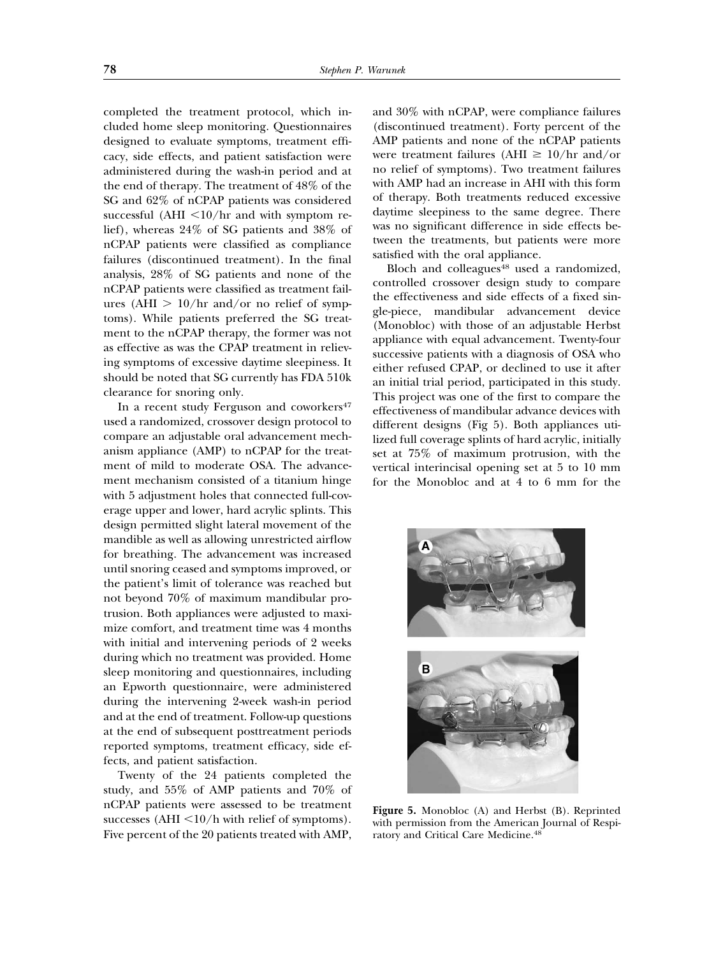completed the treatment protocol, which included home sleep monitoring. Questionnaires designed to evaluate symptoms, treatment efficacy, side effects, and patient satisfaction were administered during the wash-in period and at the end of therapy. The treatment of 48% of the SG and 62% of nCPAP patients was considered successful (AHI  $\langle 10/hr \rangle$  and with symptom relief), whereas 24% of SG patients and 38% of nCPAP patients were classified as compliance failures (discontinued treatment). In the final analysis, 28% of SG patients and none of the nCPAP patients were classified as treatment failures (AHI  $> 10/hr$  and/or no relief of symptoms). While patients preferred the SG treatment to the nCPAP therapy, the former was not as effective as was the CPAP treatment in relieving symptoms of excessive daytime sleepiness. It should be noted that SG currently has FDA 510k clearance for snoring only.

In a recent study Ferguson and coworkers<sup>47</sup> used a randomized, crossover design protocol to compare an adjustable oral advancement mechanism appliance (AMP) to nCPAP for the treatment of mild to moderate OSA. The advancement mechanism consisted of a titanium hinge with 5 adjustment holes that connected full-coverage upper and lower, hard acrylic splints. This design permitted slight lateral movement of the mandible as well as allowing unrestricted airflow for breathing. The advancement was increased until snoring ceased and symptoms improved, or the patient's limit of tolerance was reached but not beyond 70% of maximum mandibular protrusion. Both appliances were adjusted to maximize comfort, and treatment time was 4 months with initial and intervening periods of 2 weeks during which no treatment was provided. Home sleep monitoring and questionnaires, including an Epworth questionnaire, were administered during the intervening 2-week wash-in period and at the end of treatment. Follow-up questions at the end of subsequent posttreatment periods reported symptoms, treatment efficacy, side effects, and patient satisfaction.

Twenty of the 24 patients completed the study, and 55% of AMP patients and 70% of nCPAP patients were assessed to be treatment successes  $(AHI < 10/h$  with relief of symptoms). Five percent of the 20 patients treated with AMP,

and 30% with nCPAP, were compliance failures (discontinued treatment). Forty percent of the AMP patients and none of the nCPAP patients were treatment failures (AHI  $\geq 10/hr$  and/or no relief of symptoms). Two treatment failures with AMP had an increase in AHI with this form of therapy. Both treatments reduced excessive daytime sleepiness to the same degree. There was no significant difference in side effects between the treatments, but patients were more satisfied with the oral appliance.

Bloch and colleagues<sup>48</sup> used a randomized, controlled crossover design study to compare the effectiveness and side effects of a fixed single-piece, mandibular advancement device (Monobloc) with those of an adjustable Herbst appliance with equal advancement. Twenty-four successive patients with a diagnosis of OSA who either refused CPAP, or declined to use it after an initial trial period, participated in this study. This project was one of the first to compare the effectiveness of mandibular advance devices with different designs (Fig 5). Both appliances utilized full coverage splints of hard acrylic, initially set at 75% of maximum protrusion, with the vertical interincisal opening set at 5 to 10 mm for the Monobloc and at 4 to 6 mm for the



**Figure 5.** Monobloc (A) and Herbst (B). Reprinted with permission from the American Journal of Respiratory and Critical Care Medicine.48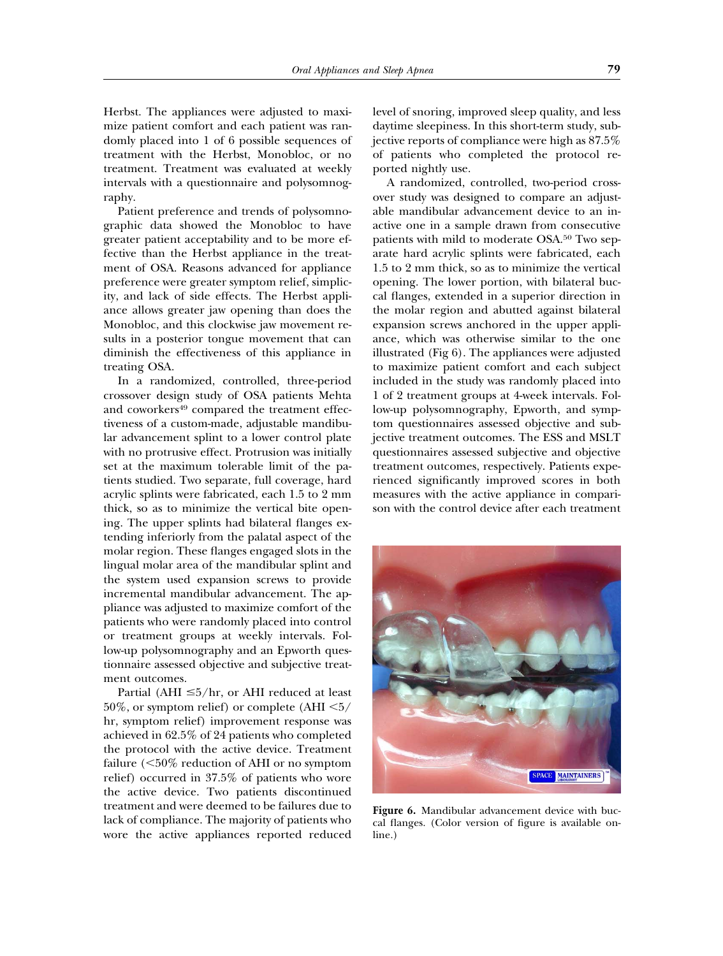Herbst. The appliances were adjusted to maximize patient comfort and each patient was randomly placed into 1 of 6 possible sequences of treatment with the Herbst, Monobloc, or no treatment. Treatment was evaluated at weekly intervals with a questionnaire and polysomnography.

Patient preference and trends of polysomnographic data showed the Monobloc to have greater patient acceptability and to be more effective than the Herbst appliance in the treatment of OSA. Reasons advanced for appliance preference were greater symptom relief, simplicity, and lack of side effects. The Herbst appliance allows greater jaw opening than does the Monobloc, and this clockwise jaw movement results in a posterior tongue movement that can diminish the effectiveness of this appliance in treating OSA.

In a randomized, controlled, three-period crossover design study of OSA patients Mehta and coworkers<sup>49</sup> compared the treatment effectiveness of a custom-made, adjustable mandibular advancement splint to a lower control plate with no protrusive effect. Protrusion was initially set at the maximum tolerable limit of the patients studied. Two separate, full coverage, hard acrylic splints were fabricated, each 1.5 to 2 mm thick, so as to minimize the vertical bite opening. The upper splints had bilateral flanges extending inferiorly from the palatal aspect of the molar region. These flanges engaged slots in the lingual molar area of the mandibular splint and the system used expansion screws to provide incremental mandibular advancement. The appliance was adjusted to maximize comfort of the patients who were randomly placed into control or treatment groups at weekly intervals. Follow-up polysomnography and an Epworth questionnaire assessed objective and subjective treatment outcomes.

Partial (AHI  $\leq 5/hr$ , or AHI reduced at least 50%, or symptom relief) or complete  $(AHI < 5/$ hr, symptom relief) improvement response was achieved in 62.5% of 24 patients who completed the protocol with the active device. Treatment failure  $\langle$  <50% reduction of AHI or no symptom relief) occurred in 37.5% of patients who wore the active device. Two patients discontinued treatment and were deemed to be failures due to lack of compliance. The majority of patients who wore the active appliances reported reduced

level of snoring, improved sleep quality, and less daytime sleepiness. In this short-term study, subjective reports of compliance were high as 87.5% of patients who completed the protocol reported nightly use.

A randomized, controlled, two-period crossover study was designed to compare an adjustable mandibular advancement device to an inactive one in a sample drawn from consecutive patients with mild to moderate OSA.<sup>50</sup> Two separate hard acrylic splints were fabricated, each 1.5 to 2 mm thick, so as to minimize the vertical opening. The lower portion, with bilateral buccal flanges, extended in a superior direction in the molar region and abutted against bilateral expansion screws anchored in the upper appliance, which was otherwise similar to the one illustrated (Fig 6). The appliances were adjusted to maximize patient comfort and each subject included in the study was randomly placed into 1 of 2 treatment groups at 4-week intervals. Follow-up polysomnography, Epworth, and symptom questionnaires assessed objective and subjective treatment outcomes. The ESS and MSLT questionnaires assessed subjective and objective treatment outcomes, respectively. Patients experienced significantly improved scores in both measures with the active appliance in comparison with the control device after each treatment



**Figure 6.** Mandibular advancement device with buccal flanges. (Color version of figure is available online.)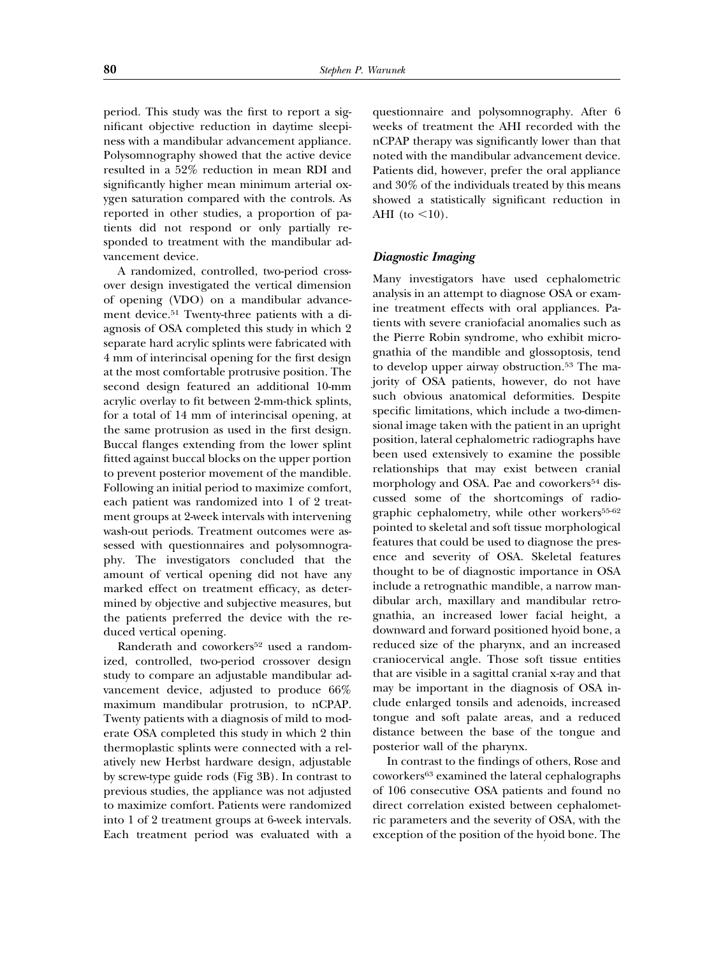period. This study was the first to report a significant objective reduction in daytime sleepiness with a mandibular advancement appliance. Polysomnography showed that the active device resulted in a 52% reduction in mean RDI and significantly higher mean minimum arterial oxygen saturation compared with the controls. As reported in other studies, a proportion of patients did not respond or only partially responded to treatment with the mandibular advancement device.

A randomized, controlled, two-period crossover design investigated the vertical dimension of opening (VDO) on a mandibular advancement device.51 Twenty-three patients with a diagnosis of OSA completed this study in which 2 separate hard acrylic splints were fabricated with 4 mm of interincisal opening for the first design at the most comfortable protrusive position. The second design featured an additional 10-mm acrylic overlay to fit between 2-mm-thick splints, for a total of 14 mm of interincisal opening, at the same protrusion as used in the first design. Buccal flanges extending from the lower splint fitted against buccal blocks on the upper portion to prevent posterior movement of the mandible. Following an initial period to maximize comfort, each patient was randomized into 1 of 2 treatment groups at 2-week intervals with intervening wash-out periods. Treatment outcomes were assessed with questionnaires and polysomnography. The investigators concluded that the amount of vertical opening did not have any marked effect on treatment efficacy, as determined by objective and subjective measures, but the patients preferred the device with the reduced vertical opening.

Randerath and coworkers<sup>52</sup> used a randomized, controlled, two-period crossover design study to compare an adjustable mandibular advancement device, adjusted to produce 66% maximum mandibular protrusion, to nCPAP. Twenty patients with a diagnosis of mild to moderate OSA completed this study in which 2 thin thermoplastic splints were connected with a relatively new Herbst hardware design, adjustable by screw-type guide rods (Fig 3B). In contrast to previous studies, the appliance was not adjusted to maximize comfort. Patients were randomized into 1 of 2 treatment groups at 6-week intervals. Each treatment period was evaluated with a

questionnaire and polysomnography. After 6 weeks of treatment the AHI recorded with the nCPAP therapy was significantly lower than that noted with the mandibular advancement device. Patients did, however, prefer the oral appliance and 30% of the individuals treated by this means showed a statistically significant reduction in AHI (to  $\langle 10 \rangle$ ).

#### *Diagnostic Imaging*

Many investigators have used cephalometric analysis in an attempt to diagnose OSA or examine treatment effects with oral appliances. Patients with severe craniofacial anomalies such as the Pierre Robin syndrome, who exhibit micrognathia of the mandible and glossoptosis, tend to develop upper airway obstruction.<sup>53</sup> The majority of OSA patients, however, do not have such obvious anatomical deformities. Despite specific limitations, which include a two-dimensional image taken with the patient in an upright position, lateral cephalometric radiographs have been used extensively to examine the possible relationships that may exist between cranial morphology and OSA. Pae and coworkers<sup>54</sup> discussed some of the shortcomings of radiographic cephalometry, while other workers<sup>55-62</sup> pointed to skeletal and soft tissue morphological features that could be used to diagnose the presence and severity of OSA. Skeletal features thought to be of diagnostic importance in OSA include a retrognathic mandible, a narrow mandibular arch, maxillary and mandibular retrognathia, an increased lower facial height, a downward and forward positioned hyoid bone, a reduced size of the pharynx, and an increased craniocervical angle. Those soft tissue entities that are visible in a sagittal cranial x-ray and that may be important in the diagnosis of OSA include enlarged tonsils and adenoids, increased tongue and soft palate areas, and a reduced distance between the base of the tongue and posterior wall of the pharynx.

In contrast to the findings of others, Rose and coworkers63 examined the lateral cephalographs of 106 consecutive OSA patients and found no direct correlation existed between cephalometric parameters and the severity of OSA, with the exception of the position of the hyoid bone. The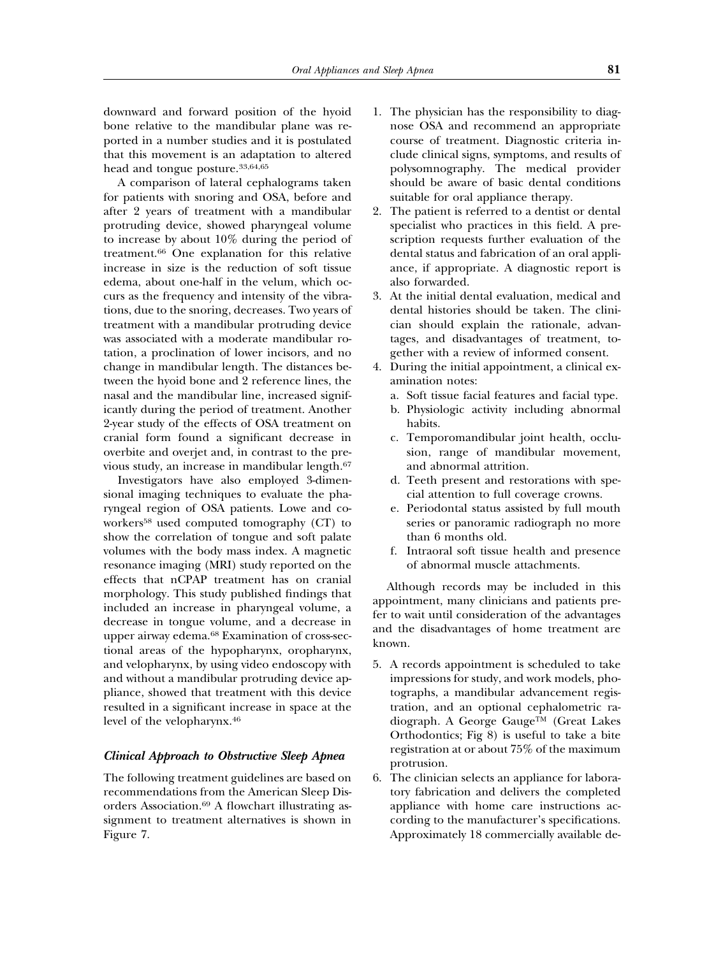downward and forward position of the hyoid bone relative to the mandibular plane was reported in a number studies and it is postulated that this movement is an adaptation to altered head and tongue posture.33,64,65

A comparison of lateral cephalograms taken for patients with snoring and OSA, before and after 2 years of treatment with a mandibular protruding device, showed pharyngeal volume to increase by about 10% during the period of treatment.66 One explanation for this relative increase in size is the reduction of soft tissue edema, about one-half in the velum, which occurs as the frequency and intensity of the vibrations, due to the snoring, decreases. Two years of treatment with a mandibular protruding device was associated with a moderate mandibular rotation, a proclination of lower incisors, and no change in mandibular length. The distances between the hyoid bone and 2 reference lines, the nasal and the mandibular line, increased significantly during the period of treatment. Another 2-year study of the effects of OSA treatment on cranial form found a significant decrease in overbite and overjet and, in contrast to the previous study, an increase in mandibular length.67

Investigators have also employed 3-dimensional imaging techniques to evaluate the pharyngeal region of OSA patients. Lowe and coworkers58 used computed tomography (CT) to show the correlation of tongue and soft palate volumes with the body mass index. A magnetic resonance imaging (MRI) study reported on the effects that nCPAP treatment has on cranial morphology. This study published findings that included an increase in pharyngeal volume, a decrease in tongue volume, and a decrease in upper airway edema.68 Examination of cross-sectional areas of the hypopharynx, oropharynx, and velopharynx, by using video endoscopy with and without a mandibular protruding device appliance, showed that treatment with this device resulted in a significant increase in space at the level of the velopharynx.46

#### *Clinical Approach to Obstructive Sleep Apnea*

The following treatment guidelines are based on recommendations from the American Sleep Disorders Association.69 A flowchart illustrating assignment to treatment alternatives is shown in Figure 7.

- 1. The physician has the responsibility to diagnose OSA and recommend an appropriate course of treatment. Diagnostic criteria include clinical signs, symptoms, and results of polysomnography. The medical provider should be aware of basic dental conditions suitable for oral appliance therapy.
- 2. The patient is referred to a dentist or dental specialist who practices in this field. A prescription requests further evaluation of the dental status and fabrication of an oral appliance, if appropriate. A diagnostic report is also forwarded.
- 3. At the initial dental evaluation, medical and dental histories should be taken. The clinician should explain the rationale, advantages, and disadvantages of treatment, together with a review of informed consent.
- 4. During the initial appointment, a clinical examination notes:
	- a. Soft tissue facial features and facial type.
	- b. Physiologic activity including abnormal habits.
	- c. Temporomandibular joint health, occlusion, range of mandibular movement, and abnormal attrition.
	- d. Teeth present and restorations with special attention to full coverage crowns.
	- e. Periodontal status assisted by full mouth series or panoramic radiograph no more than 6 months old.
	- f. Intraoral soft tissue health and presence of abnormal muscle attachments.

Although records may be included in this appointment, many clinicians and patients prefer to wait until consideration of the advantages and the disadvantages of home treatment are known.

- 5. A records appointment is scheduled to take impressions for study, and work models, photographs, a mandibular advancement registration, and an optional cephalometric radiograph. A George Gauge™ (Great Lakes Orthodontics; Fig 8) is useful to take a bite registration at or about 75% of the maximum protrusion.
- 6. The clinician selects an appliance for laboratory fabrication and delivers the completed appliance with home care instructions according to the manufacturer's specifications. Approximately 18 commercially available de-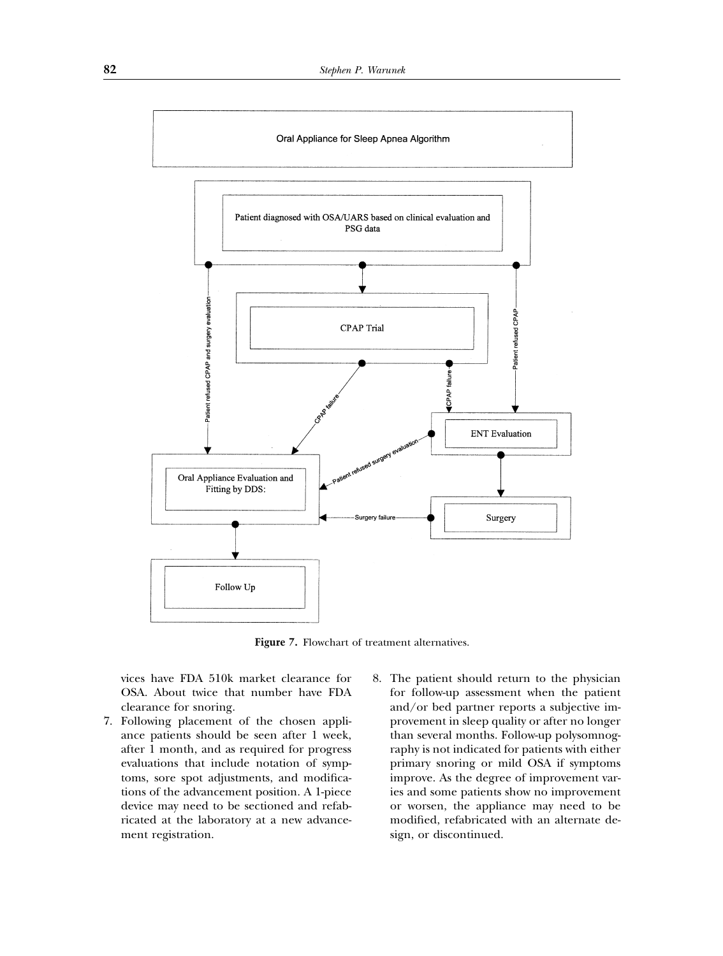

**Figure 7.** Flowchart of treatment alternatives.

vices have FDA 510k market clearance for OSA. About twice that number have FDA clearance for snoring.

- 7. Following placement of the chosen appliance patients should be seen after 1 week, after 1 month, and as required for progress evaluations that include notation of symptoms, sore spot adjustments, and modifications of the advancement position. A 1-piece device may need to be sectioned and refabricated at the laboratory at a new advancement registration.
- 8. The patient should return to the physician for follow-up assessment when the patient and/or bed partner reports a subjective improvement in sleep quality or after no longer than several months. Follow-up polysomnography is not indicated for patients with either primary snoring or mild OSA if symptoms improve. As the degree of improvement varies and some patients show no improvement or worsen, the appliance may need to be modified, refabricated with an alternate design, or discontinued.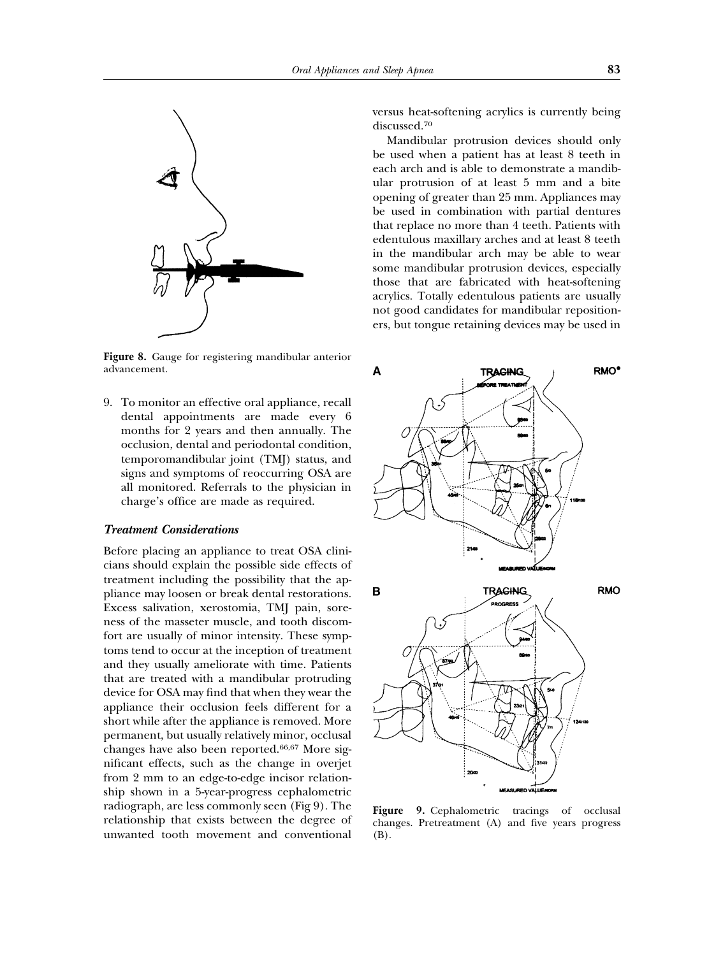

**Figure 8.** Gauge for registering mandibular anterior advancement.

9. To monitor an effective oral appliance, recall dental appointments are made every 6 months for 2 years and then annually. The occlusion, dental and periodontal condition, temporomandibular joint (TMJ) status, and signs and symptoms of reoccurring OSA are all monitored. Referrals to the physician in charge's office are made as required.

#### *Treatment Considerations*

Before placing an appliance to treat OSA clinicians should explain the possible side effects of treatment including the possibility that the appliance may loosen or break dental restorations. Excess salivation, xerostomia, TMJ pain, soreness of the masseter muscle, and tooth discomfort are usually of minor intensity. These symptoms tend to occur at the inception of treatment and they usually ameliorate with time. Patients that are treated with a mandibular protruding device for OSA may find that when they wear the appliance their occlusion feels different for a short while after the appliance is removed. More permanent, but usually relatively minor, occlusal changes have also been reported.66,67 More significant effects, such as the change in overjet from 2 mm to an edge-to-edge incisor relationship shown in a 5-year-progress cephalometric radiograph, are less commonly seen (Fig 9). The relationship that exists between the degree of unwanted tooth movement and conventional

versus heat-softening acrylics is currently being discussed.70

Mandibular protrusion devices should only be used when a patient has at least 8 teeth in each arch and is able to demonstrate a mandibular protrusion of at least 5 mm and a bite opening of greater than 25 mm. Appliances may be used in combination with partial dentures that replace no more than 4 teeth. Patients with edentulous maxillary arches and at least 8 teeth in the mandibular arch may be able to wear some mandibular protrusion devices, especially those that are fabricated with heat-softening acrylics. Totally edentulous patients are usually not good candidates for mandibular repositioners, but tongue retaining devices may be used in



**Figure 9.** Cephalometric tracings of occlusal changes. Pretreatment (A) and five years progress (B).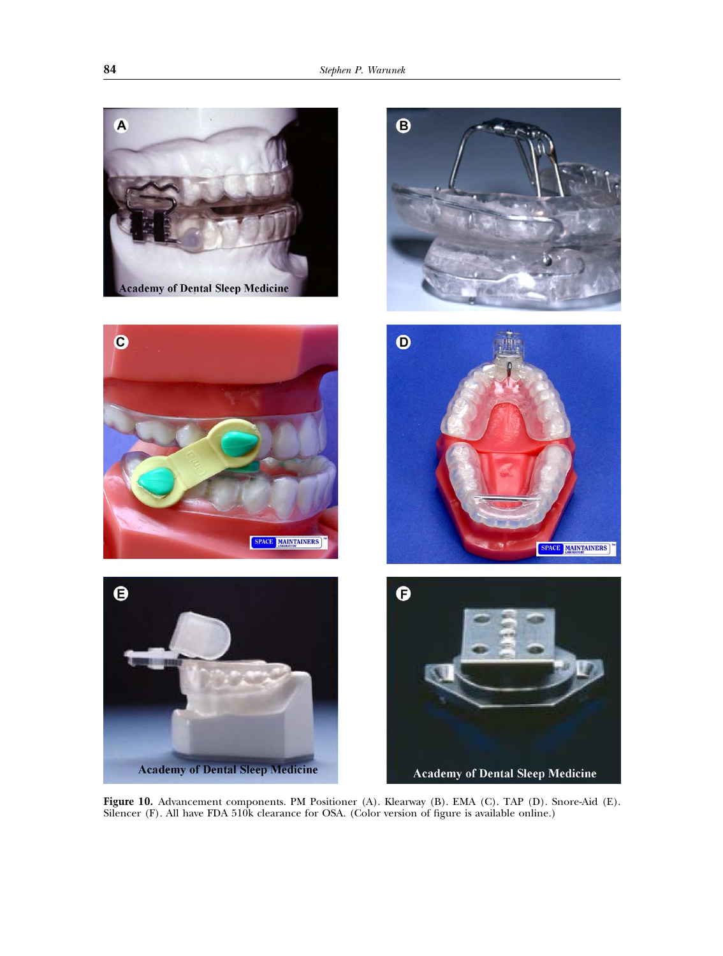

**Figure 10.** Advancement components. PM Positioner (A). Klearway (B). EMA (C). TAP (D). Snore-Aid (E). Silencer (F). All have FDA 510k clearance for OSA. (Color version of figure is available online.)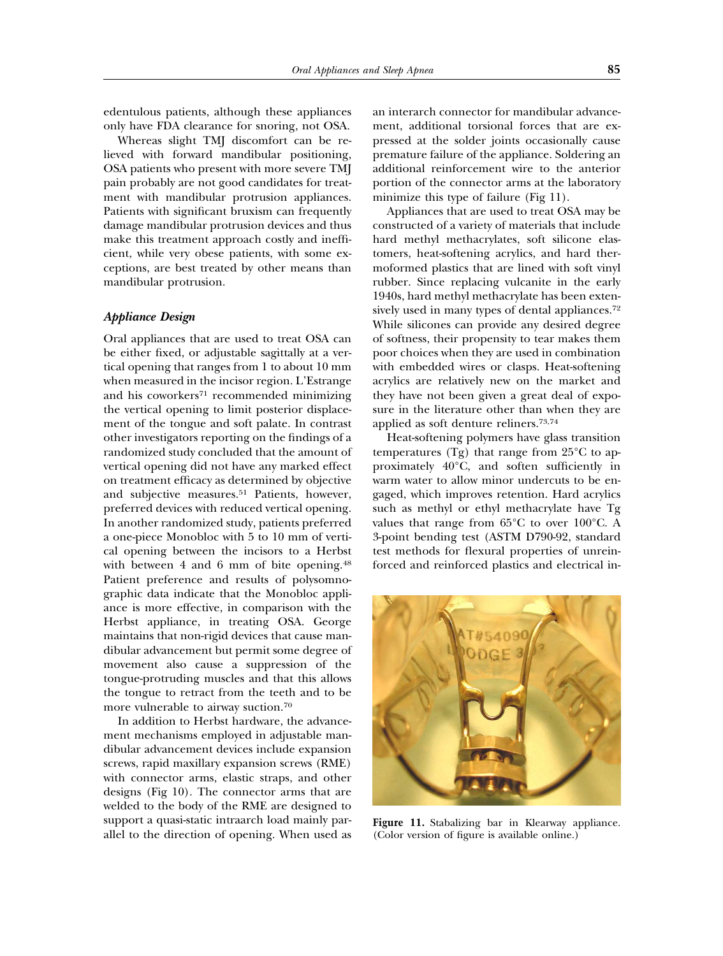edentulous patients, although these appliances only have FDA clearance for snoring, not OSA.

Whereas slight TMJ discomfort can be relieved with forward mandibular positioning, OSA patients who present with more severe TMJ pain probably are not good candidates for treatment with mandibular protrusion appliances. Patients with significant bruxism can frequently damage mandibular protrusion devices and thus make this treatment approach costly and inefficient, while very obese patients, with some exceptions, are best treated by other means than mandibular protrusion.

#### *Appliance Design*

Oral appliances that are used to treat OSA can be either fixed, or adjustable sagittally at a vertical opening that ranges from 1 to about 10 mm when measured in the incisor region. L'Estrange and his coworkers<sup>71</sup> recommended minimizing the vertical opening to limit posterior displacement of the tongue and soft palate. In contrast other investigators reporting on the findings of a randomized study concluded that the amount of vertical opening did not have any marked effect on treatment efficacy as determined by objective and subjective measures.51 Patients, however, preferred devices with reduced vertical opening. In another randomized study, patients preferred a one-piece Monobloc with 5 to 10 mm of vertical opening between the incisors to a Herbst with between 4 and 6 mm of bite opening.<sup>48</sup> Patient preference and results of polysomnographic data indicate that the Monobloc appliance is more effective, in comparison with the Herbst appliance, in treating OSA. George maintains that non-rigid devices that cause mandibular advancement but permit some degree of movement also cause a suppression of the tongue-protruding muscles and that this allows the tongue to retract from the teeth and to be more vulnerable to airway suction.70

In addition to Herbst hardware, the advancement mechanisms employed in adjustable mandibular advancement devices include expansion screws, rapid maxillary expansion screws (RME) with connector arms, elastic straps, and other designs (Fig 10). The connector arms that are welded to the body of the RME are designed to support a quasi-static intraarch load mainly parallel to the direction of opening. When used as an interarch connector for mandibular advancement, additional torsional forces that are expressed at the solder joints occasionally cause premature failure of the appliance. Soldering an additional reinforcement wire to the anterior portion of the connector arms at the laboratory minimize this type of failure (Fig 11).

Appliances that are used to treat OSA may be constructed of a variety of materials that include hard methyl methacrylates, soft silicone elastomers, heat-softening acrylics, and hard thermoformed plastics that are lined with soft vinyl rubber. Since replacing vulcanite in the early 1940s, hard methyl methacrylate has been extensively used in many types of dental appliances.72 While silicones can provide any desired degree of softness, their propensity to tear makes them poor choices when they are used in combination with embedded wires or clasps. Heat-softening acrylics are relatively new on the market and they have not been given a great deal of exposure in the literature other than when they are applied as soft denture reliners.73,74

Heat-softening polymers have glass transition temperatures (Tg) that range from  $25^{\circ}$ C to approximately 40°C, and soften sufficiently in warm water to allow minor undercuts to be engaged, which improves retention. Hard acrylics such as methyl or ethyl methacrylate have Tg values that range from 65°C to over 100°C. A 3-point bending test (ASTM D790-92, standard test methods for flexural properties of unreinforced and reinforced plastics and electrical in-



**Figure 11.** Stabalizing bar in Klearway appliance. (Color version of figure is available online.)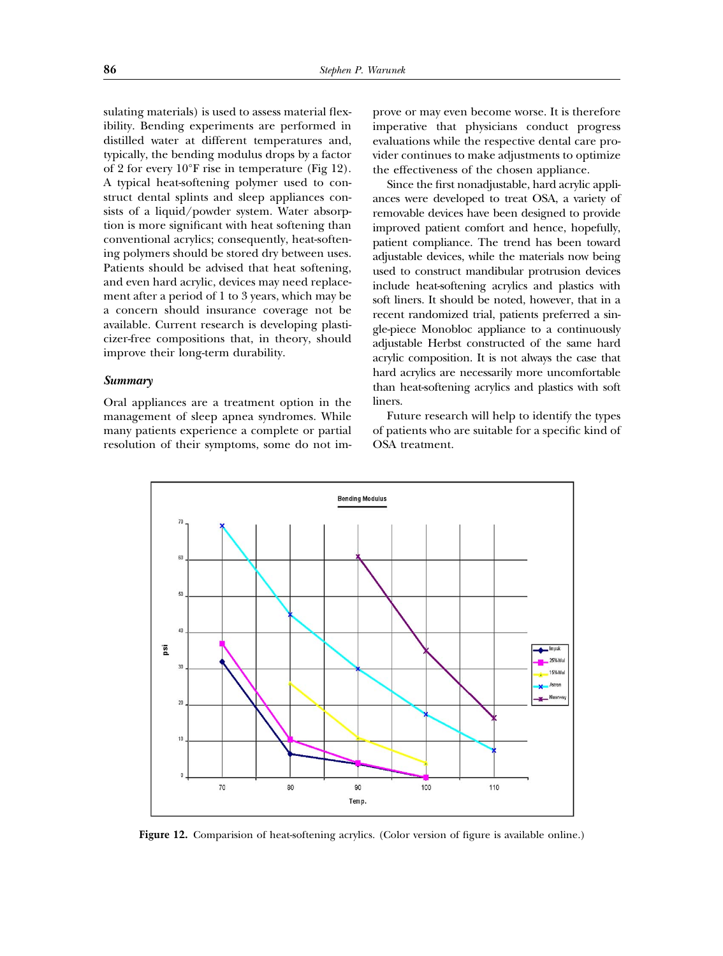sulating materials) is used to assess material flexibility. Bending experiments are performed in distilled water at different temperatures and, typically, the bending modulus drops by a factor of 2 for every 10°F rise in temperature (Fig 12). A typical heat-softening polymer used to construct dental splints and sleep appliances consists of a liquid/powder system. Water absorption is more significant with heat softening than conventional acrylics; consequently, heat-softening polymers should be stored dry between uses. Patients should be advised that heat softening, and even hard acrylic, devices may need replacement after a period of 1 to 3 years, which may be a concern should insurance coverage not be available. Current research is developing plasticizer-free compositions that, in theory, should improve their long-term durability.

#### *Summary*

Oral appliances are a treatment option in the management of sleep apnea syndromes. While many patients experience a complete or partial resolution of their symptoms, some do not improve or may even become worse. It is therefore imperative that physicians conduct progress evaluations while the respective dental care provider continues to make adjustments to optimize the effectiveness of the chosen appliance.

Since the first nonadjustable, hard acrylic appliances were developed to treat OSA, a variety of removable devices have been designed to provide improved patient comfort and hence, hopefully, patient compliance. The trend has been toward adjustable devices, while the materials now being used to construct mandibular protrusion devices include heat-softening acrylics and plastics with soft liners. It should be noted, however, that in a recent randomized trial, patients preferred a single-piece Monobloc appliance to a continuously adjustable Herbst constructed of the same hard acrylic composition. It is not always the case that hard acrylics are necessarily more uncomfortable than heat-softening acrylics and plastics with soft liners.

Future research will help to identify the types of patients who are suitable for a specific kind of OSA treatment.



**Figure 12.** Comparision of heat-softening acrylics. (Color version of figure is available online.)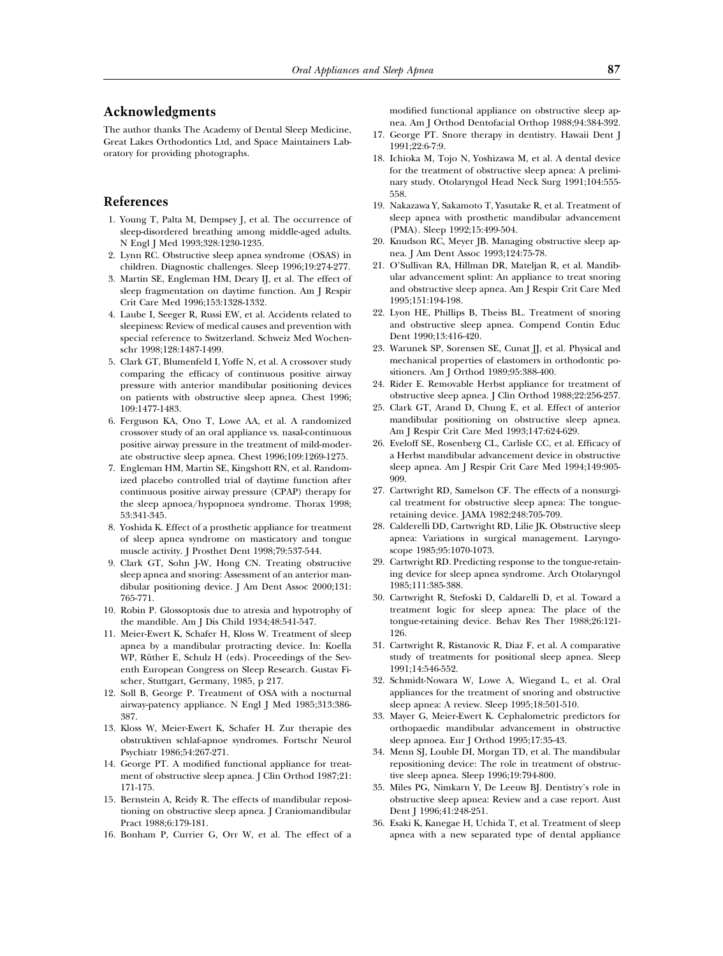### **Acknowledgments**

The author thanks The Academy of Dental Sleep Medicine, Great Lakes Orthodontics Ltd, and Space Maintainers Laboratory for providing photographs.

## **References**

- 1. Young T, Palta M, Dempsey J, et al. The occurrence of sleep-disordered breathing among middle-aged adults. N Engl J Med 1993;328:1230-1235.
- 2. Lynn RC. Obstructive sleep apnea syndrome (OSAS) in children. Diagnostic challenges. Sleep 1996;19:274-277.
- 3. Martin SE, Engleman HM, Deary IJ, et al. The effect of sleep fragmentation on daytime function. Am J Respir Crit Care Med 1996;153:1328-1332.
- 4. Laube I, Seeger R, Russi EW, et al. Accidents related to sleepiness: Review of medical causes and prevention with special reference to Switzerland. Schweiz Med Wochenschr 1998;128:1487-1499.
- 5. Clark GT, Blumenfeld I, Yoffe N, et al. A crossover study comparing the efficacy of continuous positive airway pressure with anterior mandibular positioning devices on patients with obstructive sleep apnea. Chest 1996; 109:1477-1483.
- 6. Ferguson KA, Ono T, Lowe AA, et al. A randomized crossover study of an oral appliance vs. nasal-continuous positive airway pressure in the treatment of mild-moderate obstructive sleep apnea. Chest 1996;109:1269-1275.
- 7. Engleman HM, Martin SE, Kingshott RN, et al. Randomized placebo controlled trial of daytime function after continuous positive airway pressure (CPAP) therapy for the sleep apnoea/hypopnoea syndrome. Thorax 1998; 53:341-345.
- 8. Yoshida K. Effect of a prosthetic appliance for treatment of sleep apnea syndrome on masticatory and tongue muscle activity. J Prosthet Dent 1998;79:537-544.
- 9. Clark GT, Sohn J-W, Hong CN. Treating obstructive sleep apnea and snoring: Assessment of an anterior mandibular positioning device. J Am Dent Assoc 2000;131: 765-771.
- 10. Robin P. Glossoptosis due to atresia and hypotrophy of the mandible. Am J Dis Child 1934;48:541-547.
- 11. Meier-Ewert K, Schafer H, Kloss W. Treatment of sleep apnea by a mandibular protracting device. In: Koella WP, Rüther E, Schulz H (eds). Proceedings of the Seventh European Congress on Sleep Research. Gustav Fischer, Stuttgart, Germany, 1985, p 217.
- 12. Soll B, George P. Treatment of OSA with a nocturnal airway-patency appliance. N Engl J Med 1985;313:386- 387.
- 13. Kloss W, Meier-Ewert K, Schafer H. Zur therapie des obstruktiven schlaf-apnoe syndromes. Fortschr Neurol Psychiatr 1986;54:267-271.
- 14. George PT. A modified functional appliance for treatment of obstructive sleep apnea. J Clin Orthod 1987;21: 171-175.
- 15. Bernstein A, Reidy R. The effects of mandibular repositioning on obstructive sleep apnea. J Craniomandibular Pract 1988;6:179-181.
- 16. Bonham P, Currier G, Orr W, et al. The effect of a

modified functional appliance on obstructive sleep apnea. Am J Orthod Dentofacial Orthop 1988;94:384-392.

- 17. George PT. Snore therapy in dentistry. Hawaii Dent J 1991;22:6-7:9.
- 18. Ichioka M, Tojo N, Yoshizawa M, et al. A dental device for the treatment of obstructive sleep apnea: A preliminary study. Otolaryngol Head Neck Surg 1991;104:555- 558.
- 19. Nakazawa Y, Sakamoto T, Yasutake R, et al. Treatment of sleep apnea with prosthetic mandibular advancement (PMA). Sleep 1992;15:499-504.
- 20. Knudson RC, Meyer JB. Managing obstructive sleep apnea. J Am Dent Assoc 1993;124:75-78.
- 21. O'Sullivan RA, Hillman DR, Mateljan R, et al. Mandibular advancement splint: An appliance to treat snoring and obstructive sleep apnea. Am J Respir Crit Care Med 1995;151:194-198.
- 22. Lyon HE, Phillips B, Theiss BL. Treatment of snoring and obstructive sleep apnea. Compend Contin Educ Dent 1990;13:416-420.
- 23. Warunek SP, Sorensen SE, Cunat JJ, et al. Physical and mechanical properties of elastomers in orthodontic positioners. Am J Orthod 1989;95:388-400.
- 24. Rider E. Removable Herbst appliance for treatment of obstructive sleep apnea. J Clin Orthod 1988;22:256-257.
- 25. Clark GT, Arand D, Chung E, et al. Effect of anterior mandibular positioning on obstructive sleep apnea. Am J Respir Crit Care Med 1993;147:624-629.
- 26. Eveloff SE, Rosenberg CL, Carlisle CC, et al. Efficacy of a Herbst mandibular advancement device in obstructive sleep apnea. Am J Respir Crit Care Med 1994;149:905- 909.
- 27. Cartwright RD, Samelson CF. The effects of a nonsurgical treatment for obstructive sleep apnea: The tongueretaining device. JAMA 1982;248:705-709.
- 28. Calderelli DD, Cartwright RD, Lilie JK. Obstructive sleep apnea: Variations in surgical management. Laryngoscope 1985;95:1070-1073.
- 29. Cartwright RD. Predicting response to the tongue-retaining device for sleep apnea syndrome. Arch Otolaryngol 1985;111:385-388.
- 30. Cartwright R, Stefoski D, Caldarelli D, et al. Toward a treatment logic for sleep apnea: The place of the tongue-retaining device. Behav Res Ther 1988;26:121- 126.
- 31. Cartwright R, Ristanovic R, Diaz F, et al. A comparative study of treatments for positional sleep apnea. Sleep 1991;14:546-552.
- 32. Schmidt-Nowara W, Lowe A, Wiegand L, et al. Oral appliances for the treatment of snoring and obstructive sleep apnea: A review. Sleep 1995;18:501-510.
- 33. Mayer G, Meier-Ewert K. Cephalometric predictors for orthopaedic mandibular advancement in obstructive sleep apnoea. Eur J Orthod 1995;17:35-43.
- 34. Menn SJ, Louble DI, Morgan TD, et al. The mandibular repositioning device: The role in treatment of obstructive sleep apnea. Sleep 1996;19:794-800.
- 35. Miles PG, Nimkarn Y, De Leeuw BJ. Dentistry's role in obstructive sleep apnea: Review and a case report. Aust Dent J 1996;41:248-251.
- 36. Esaki K, Kanegae H, Uchida T, et al. Treatment of sleep apnea with a new separated type of dental appliance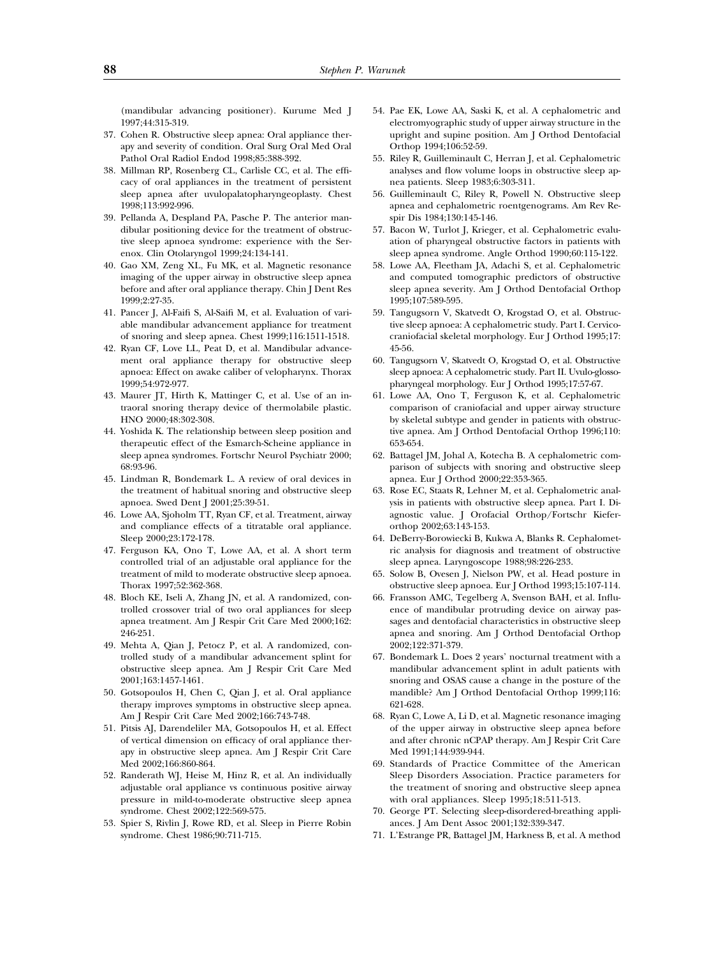(mandibular advancing positioner). Kurume Med J 1997;44:315-319.

- 37. Cohen R. Obstructive sleep apnea: Oral appliance therapy and severity of condition. Oral Surg Oral Med Oral Pathol Oral Radiol Endod 1998;85:388-392.
- 38. Millman RP, Rosenberg CL, Carlisle CC, et al. The efficacy of oral appliances in the treatment of persistent sleep apnea after uvulopalatopharyngeoplasty. Chest 1998;113:992-996.
- 39. Pellanda A, Despland PA, Pasche P. The anterior mandibular positioning device for the treatment of obstructive sleep apnoea syndrome: experience with the Serenox. Clin Otolaryngol 1999;24:134-141.
- 40. Gao XM, Zeng XL, Fu MK, et al. Magnetic resonance imaging of the upper airway in obstructive sleep apnea before and after oral appliance therapy. Chin J Dent Res 1999;2:27-35.
- 41. Pancer J, Al-Faifi S, Al-Saifi M, et al. Evaluation of variable mandibular advancement appliance for treatment of snoring and sleep apnea. Chest 1999;116:1511-1518.
- 42. Ryan CF, Love LL, Peat D, et al. Mandibular advancement oral appliance therapy for obstructive sleep apnoea: Effect on awake caliber of velopharynx. Thorax 1999;54:972-977.
- 43. Maurer JT, Hirth K, Mattinger C, et al. Use of an intraoral snoring therapy device of thermolabile plastic. HNO 2000;48:302-308.
- 44. Yoshida K. The relationship between sleep position and therapeutic effect of the Esmarch-Scheine appliance in sleep apnea syndromes. Fortschr Neurol Psychiatr 2000; 68:93-96.
- 45. Lindman R, Bondemark L. A review of oral devices in the treatment of habitual snoring and obstructive sleep apnoea. Swed Dent J 2001;25:39-51.
- 46. Lowe AA, Sjoholm TT, Ryan CF, et al. Treatment, airway and compliance effects of a titratable oral appliance. Sleep 2000;23:172-178.
- 47. Ferguson KA, Ono T, Lowe AA, et al. A short term controlled trial of an adjustable oral appliance for the treatment of mild to moderate obstructive sleep apnoea. Thorax 1997;52:362-368.
- 48. Bloch KE, Iseli A, Zhang JN, et al. A randomized, controlled crossover trial of two oral appliances for sleep apnea treatment. Am J Respir Crit Care Med 2000;162: 246-251.
- 49. Mehta A, Qian J, Petocz P, et al. A randomized, controlled study of a mandibular advancement splint for obstructive sleep apnea. Am J Respir Crit Care Med 2001;163:1457-1461.
- 50. Gotsopoulos H, Chen C, Qian J, et al. Oral appliance therapy improves symptoms in obstructive sleep apnea. Am J Respir Crit Care Med 2002;166:743-748.
- 51. Pitsis AJ, Darendeliler MA, Gotsopoulos H, et al. Effect of vertical dimension on efficacy of oral appliance therapy in obstructive sleep apnea. Am J Respir Crit Care Med 2002;166:860-864.
- 52. Randerath WJ, Heise M, Hinz R, et al. An individually adjustable oral appliance vs continuous positive airway pressure in mild-to-moderate obstructive sleep apnea syndrome. Chest 2002;122:569-575.
- 53. Spier S, Rivlin J, Rowe RD, et al. Sleep in Pierre Robin syndrome. Chest 1986;90:711-715.
- 54. Pae EK, Lowe AA, Saski K, et al. A cephalometric and electromyographic study of upper airway structure in the upright and supine position. Am J Orthod Dentofacial Orthop 1994;106:52-59.
- 55. Riley R, Guilleminault C, Herran J, et al. Cephalometric analyses and flow volume loops in obstructive sleep apnea patients. Sleep 1983;6:303-311.
- 56. Guilleminault C, Riley R, Powell N. Obstructive sleep apnea and cephalometric roentgenograms. Am Rev Respir Dis 1984;130:145-146.
- 57. Bacon W, Turlot J, Krieger, et al. Cephalometric evaluation of pharyngeal obstructive factors in patients with sleep apnea syndrome. Angle Orthod 1990;60:115-122.
- 58. Lowe AA, Fleetham JA, Adachi S, et al. Cephalometric and computed tomographic predictors of obstructive sleep apnea severity. Am J Orthod Dentofacial Orthop 1995;107:589-595.
- 59. Tangugsorn V, Skatvedt O, Krogstad O, et al. Obstructive sleep apnoea: A cephalometric study. Part I. Cervicocraniofacial skeletal morphology. Eur J Orthod 1995;17: 45-56.
- 60. Tangugsorn V, Skatvedt O, Krogstad O, et al. Obstructive sleep apnoea: A cephalometric study. Part II. Uvulo-glossopharyngeal morphology. Eur J Orthod 1995;17:57-67.
- 61. Lowe AA, Ono T, Ferguson K, et al. Cephalometric comparison of craniofacial and upper airway structure by skeletal subtype and gender in patients with obstructive apnea. Am J Orthod Dentofacial Orthop 1996;110: 653-654.
- 62. Battagel JM, Johal A, Kotecha B. A cephalometric comparison of subjects with snoring and obstructive sleep apnea. Eur J Orthod 2000;22:353-365.
- 63. Rose EC, Staats R, Lehner M, et al. Cephalometric analysis in patients with obstructive sleep apnea. Part I. Diagnostic value. J Orofacial Orthop/Fortschr Kieferorthop 2002;63:143-153.
- 64. DeBerry-Borowiecki B, Kukwa A, Blanks R. Cephalometric analysis for diagnosis and treatment of obstructive sleep apnea. Laryngoscope 1988;98:226-233.
- 65. Solow B, Ovesen J, Nielson PW, et al. Head posture in obstructive sleep apnoea. Eur J Orthod 1993;15:107-114.
- 66. Fransson AMC, Tegelberg A, Svenson BAH, et al. Influence of mandibular protruding device on airway passages and dentofacial characteristics in obstructive sleep apnea and snoring. Am J Orthod Dentofacial Orthop 2002;122:371-379.
- 67. Bondemark L. Does 2 years' nocturnal treatment with a mandibular advancement splint in adult patients with snoring and OSAS cause a change in the posture of the mandible? Am J Orthod Dentofacial Orthop 1999;116: 621-628.
- 68. Ryan C, Lowe A, Li D, et al. Magnetic resonance imaging of the upper airway in obstructive sleep apnea before and after chronic nCPAP therapy. Am J Respir Crit Care Med 1991;144:939-944.
- 69. Standards of Practice Committee of the American Sleep Disorders Association. Practice parameters for the treatment of snoring and obstructive sleep apnea with oral appliances. Sleep 1995;18:511-513.
- 70. George PT. Selecting sleep-disordered-breathing appliances. J Am Dent Assoc 2001;132:339-347.
- 71. L'Estrange PR, Battagel JM, Harkness B, et al. A method